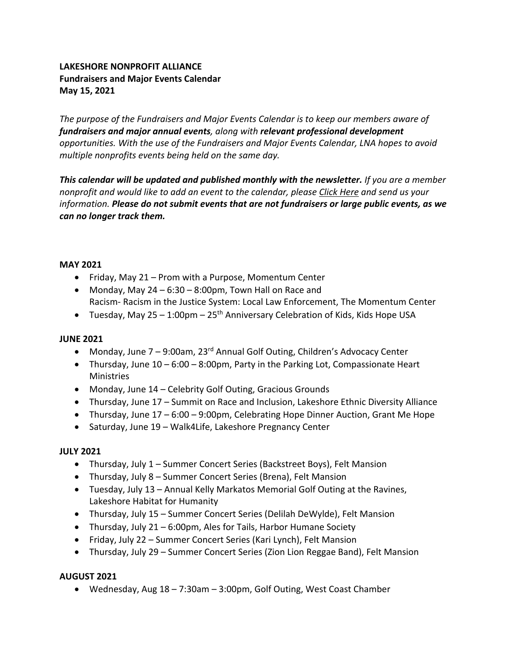# **LAKESHORE NONPROFIT ALLIANCE Fundraisers and Major Events Calendar May 15, 2021**

*The purpose of the Fundraisers and Major Events Calendar is to keep our members aware of fundraisers and major annual events, along with relevant professional development opportunities. With the use of the Fundraisers and Major Events Calendar, LNA hopes to avoid multiple nonprofits events being held on the same day.*

*This calendar will be updated and published monthly with the newsletter. If you are a member nonprofit and would like to add an event to the calendar, please Click Here and send us your information. Please do not submit events that are not fundraisers or large public events, as we can no longer track them.*

#### **MAY 2021**

- Friday, May 21 Prom with a Purpose, Momentum Center
- Monday, May  $24 6:30 8:00$  pm, Town Hall on Race and Racism- Racism in the Justice System: Local Law Enforcement, The Momentum Center
- Tuesday, May  $25 1:00$ pm  $25<sup>th</sup>$  Anniversary Celebration of Kids, Kids Hope USA

## **JUNE 2021**

- Monday, June  $7 9:00$ am,  $23<sup>rd</sup>$  Annual Golf Outing, Children's Advocacy Center
- Thursday, June 10 6:00 8:00pm, Party in the Parking Lot, Compassionate Heart Ministries
- Monday, June 14 Celebrity Golf Outing, Gracious Grounds
- Thursday, June 17 Summit on Race and Inclusion, Lakeshore Ethnic Diversity Alliance
- Thursday, June 17 6:00 9:00pm, Celebrating Hope Dinner Auction, Grant Me Hope
- Saturday, June 19 Walk4Life, Lakeshore Pregnancy Center

## **JULY 2021**

- Thursday, July 1 Summer Concert Series (Backstreet Boys), Felt Mansion
- Thursday, July 8 Summer Concert Series (Brena), Felt Mansion
- Tuesday, July 13 Annual Kelly Markatos Memorial Golf Outing at the Ravines, Lakeshore Habitat for Humanity
- Thursday, July 15 Summer Concert Series (Delilah DeWylde), Felt Mansion
- Thursday, July 21 6:00pm, Ales for Tails, Harbor Humane Society
- Friday, July 22 Summer Concert Series (Kari Lynch), Felt Mansion
- Thursday, July 29 Summer Concert Series (Zion Lion Reggae Band), Felt Mansion

## **AUGUST 2021**

• Wednesday, Aug 18 – 7:30am – 3:00pm, Golf Outing, West Coast Chamber